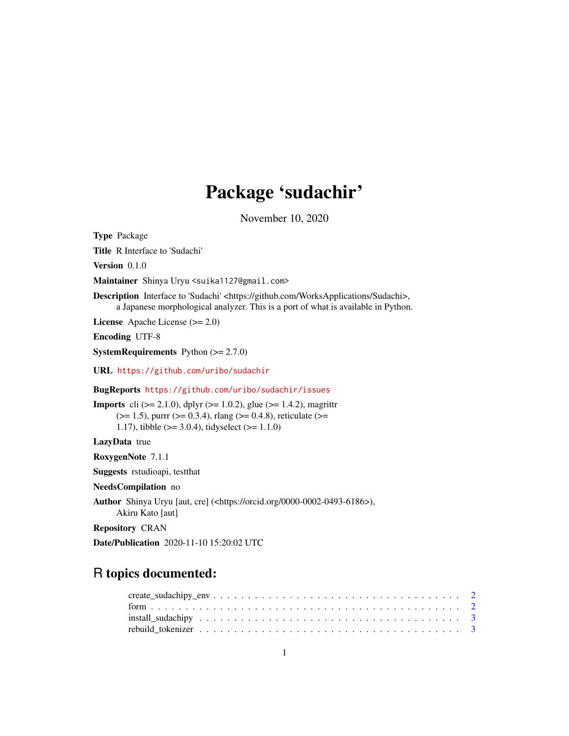## Package 'sudachir'

November 10, 2020

Type Package

Title R Interface to 'Sudachi'

Version 0.1.0

Maintainer Shinya Uryu <suika1127@gmail.com>

Description Interface to 'Sudachi' <https://github.com/WorksApplications/Sudachi>, a Japanese morphological analyzer. This is a port of what is available in Python.

License Apache License (>= 2.0)

Encoding UTF-8

**SystemRequirements** Python  $(>= 2.7.0)$ 

URL <https://github.com/uribo/sudachir>

BugReports <https://github.com/uribo/sudachir/issues>

**Imports** cli ( $>= 2.1.0$ ), dplyr ( $>= 1.0.2$ ), glue ( $>= 1.4.2$ ), magrittr  $(>= 1.5)$ , purrr  $(>= 0.3.4)$ , rlang  $(>= 0.4.8)$ , reticulate  $(>= 1.5)$ 1.17), tibble (>= 3.0.4), tidyselect (>= 1.1.0)

LazyData true

RoxygenNote 7.1.1

Suggests rstudioapi, testthat

NeedsCompilation no

Author Shinya Uryu [aut, cre] (<https://orcid.org/0000-0002-0493-6186>), Akiru Kato [aut]

Repository CRAN

Date/Publication 2020-11-10 15:20:02 UTC

## R topics documented: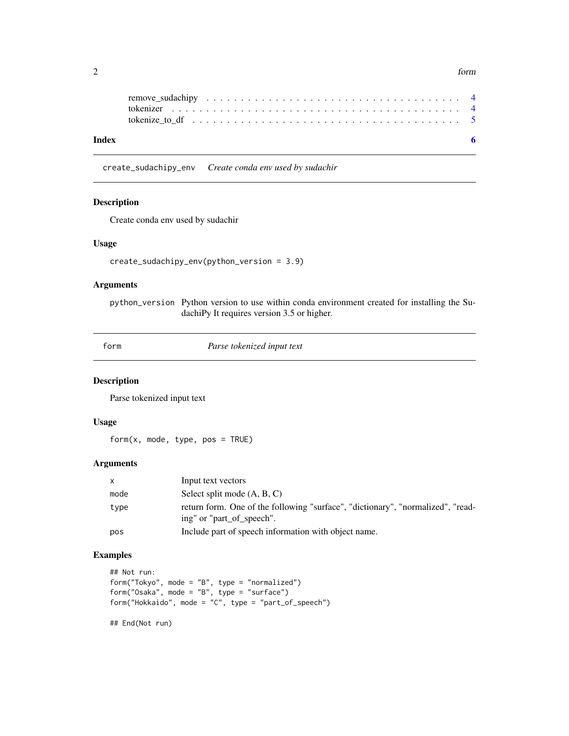<span id="page-1-0"></span> $2 \t\t form$ 

| tokenize to df $\ldots$ , $\ldots$ , $\ldots$ , $\ldots$ , $\ldots$ , $\ldots$ , $\ldots$ , $\ldots$ , $\ldots$ , $\ldots$ , $\ldots$ , $\frac{5}{2}$ |  |
|-------------------------------------------------------------------------------------------------------------------------------------------------------|--|
|                                                                                                                                                       |  |

create\_sudachipy\_env *Create conda env used by sudachir*

## Description

Create conda env used by sudachir

## Usage

```
create_sudachipy_env(python_version = 3.9)
```
## Arguments

python\_version Python version to use within conda environment created for installing the SudachiPy It requires version 3.5 or higher.

form *Parse tokenized input text*

## Description

Parse tokenized input text

#### Usage

 $form(x, mode, type, pos = TRUE)$ 

#### Arguments

| $\mathsf{x}$ | Input text vectors                                                                                           |
|--------------|--------------------------------------------------------------------------------------------------------------|
| mode         | Select split mode (A, B, C)                                                                                  |
| type         | return form. One of the following "surface", "dictionary", "normalized", "read-<br>ing" or "part of speech". |
| pos          | Include part of speech information with object name.                                                         |

## Examples

```
## Not run:
form("Tokyo", mode = "B", type = "normalized")
form("Osaka", mode = "B", type = "surface")
form("Hokkaido", mode = "C", type = "part_of_speech")
```
## End(Not run)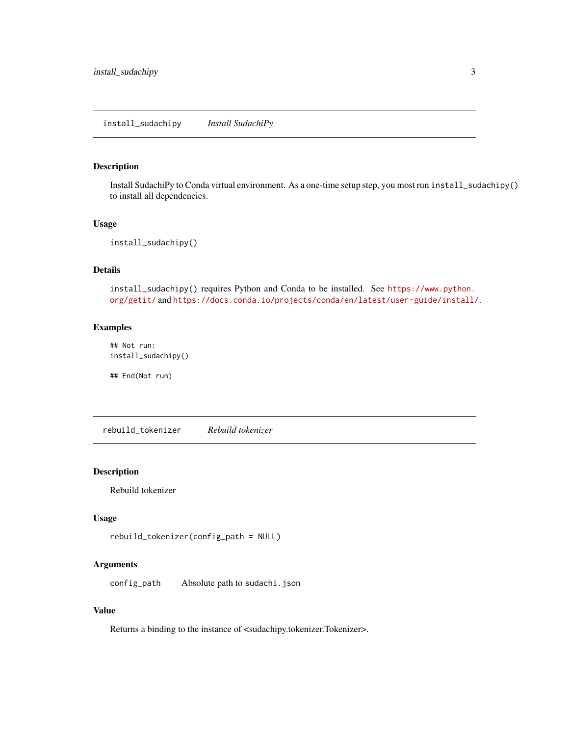<span id="page-2-0"></span>install\_sudachipy *Install SudachiPy*

#### Description

Install SudachiPy to Conda virtual environment. As a one-time setup step, you most run install\_sudachipy() to install all dependencies.

## Usage

install\_sudachipy()

## Details

install\_sudachipy() requires Python and Conda to be installed. See [https://www.python.](https://www.python.org/getit/) [org/getit/](https://www.python.org/getit/) and <https://docs.conda.io/projects/conda/en/latest/user-guide/install/>.

## Examples

## Not run: install\_sudachipy()

## End(Not run)

rebuild\_tokenizer *Rebuild tokenizer*

#### Description

Rebuild tokenizer

## Usage

```
rebuild_tokenizer(config_path = NULL)
```
#### Arguments

config\_path Absolute path to sudachi.json

#### Value

Returns a binding to the instance of <sudachipy.tokenizer.Tokenizer>.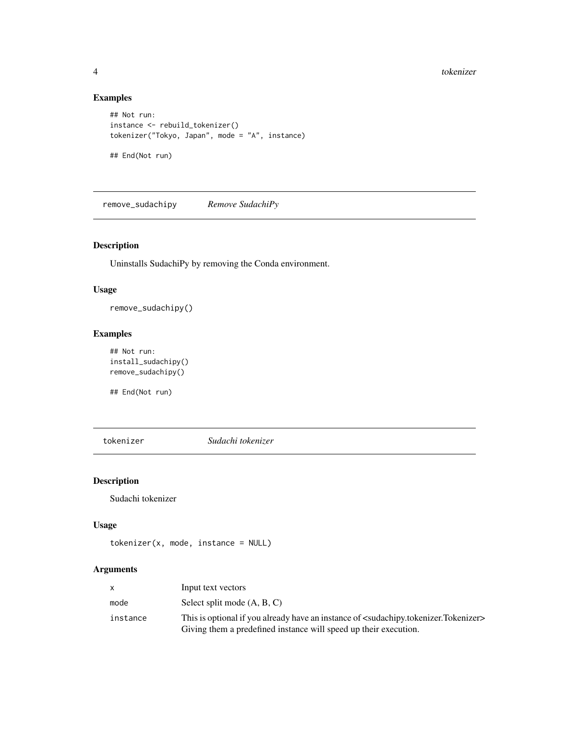## Examples

```
## Not run:
instance <- rebuild_tokenizer()
tokenizer("Tokyo, Japan", mode = "A", instance)
## End(Not run)
```
remove\_sudachipy *Remove SudachiPy*

## Description

Uninstalls SudachiPy by removing the Conda environment.

#### Usage

remove\_sudachipy()

## Examples

```
## Not run:
install_sudachipy()
remove_sudachipy()
```
## End(Not run)

tokenizer *Sudachi tokenizer*

## Description

Sudachi tokenizer

#### Usage

```
tokenizer(x, mode, instance = NULL)
```
## Arguments

|          | Input text vectors                                                                                                                                                                       |
|----------|------------------------------------------------------------------------------------------------------------------------------------------------------------------------------------------|
| mode     | Select split mode (A, B, C)                                                                                                                                                              |
| instance | This is optional if you already have an instance of <sudachipy.tokenizer.tokenizer><br/>Giving them a predefined instance will speed up their execution.</sudachipy.tokenizer.tokenizer> |

<span id="page-3-0"></span>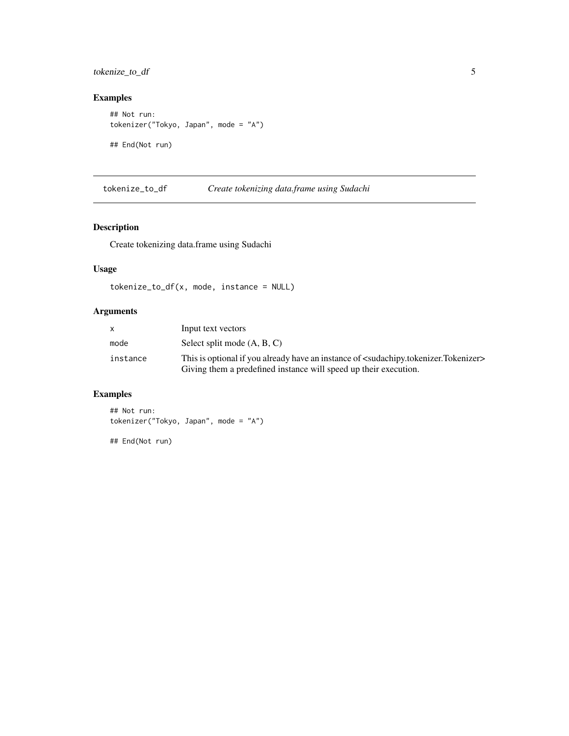<span id="page-4-0"></span>tokenize\_to\_df 5

## Examples

```
## Not run:
tokenizer("Tokyo, Japan", mode = "A")
## End(Not run)
```
tokenize\_to\_df *Create tokenizing data.frame using Sudachi*

## Description

Create tokenizing data.frame using Sudachi

## Usage

tokenize\_to\_df(x, mode, instance = NULL)

## Arguments

| $\mathsf{x}$ | Input text vectors                                                                                                                                                                       |
|--------------|------------------------------------------------------------------------------------------------------------------------------------------------------------------------------------------|
| mode         | Select split mode (A, B, C)                                                                                                                                                              |
| instance     | This is optional if you already have an instance of <sudachipy.tokenizer.tokenizer><br/>Giving them a predefined instance will speed up their execution.</sudachipy.tokenizer.tokenizer> |

## Examples

## Not run: tokenizer("Tokyo, Japan", mode = "A")

## End(Not run)